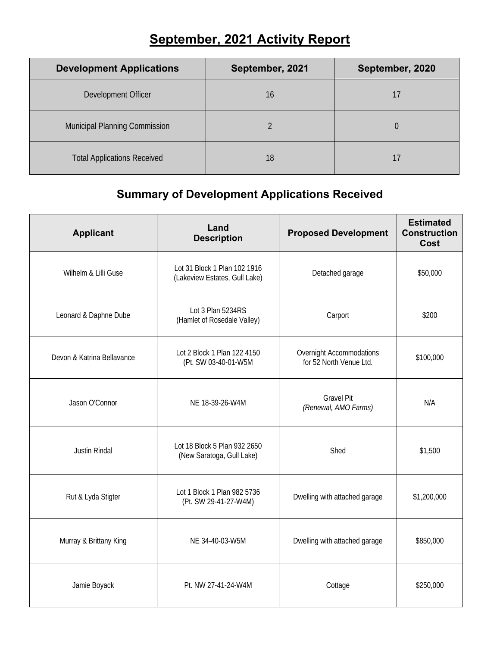## **September, 2021 Activity Report**

| <b>Development Applications</b>      | September, 2021 | September, 2020 |
|--------------------------------------|-----------------|-----------------|
| Development Officer                  | 16              |                 |
| <b>Municipal Planning Commission</b> |                 |                 |
| <b>Total Applications Received</b>   | 18              |                 |

## **Summary of Development Applications Received**

| <b>Applicant</b>           | Land<br><b>Description</b>                                    | <b>Proposed Development</b>                         | <b>Estimated</b><br><b>Construction</b><br>Cost |
|----------------------------|---------------------------------------------------------------|-----------------------------------------------------|-------------------------------------------------|
| Wilhelm & Lilli Guse       | Lot 31 Block 1 Plan 102 1916<br>(Lakeview Estates, Gull Lake) | Detached garage                                     | \$50,000                                        |
| Leonard & Daphne Dube      | Lot 3 Plan 5234RS<br>(Hamlet of Rosedale Valley)              | Carport                                             | \$200                                           |
| Devon & Katrina Bellavance | Lot 2 Block 1 Plan 122 4150<br>(Pt. SW 03-40-01-W5M           | Overnight Accommodations<br>for 52 North Venue Ltd. | \$100,000                                       |
| Jason O'Connor             | NE 18-39-26-W4M                                               | <b>Gravel Pit</b><br>(Renewal, AMO Farms)           | N/A                                             |
| Justin Rindal              | Lot 18 Block 5 Plan 932 2650<br>(New Saratoga, Gull Lake)     | Shed                                                | \$1,500                                         |
| Rut & Lyda Stigter         | Lot 1 Block 1 Plan 982 5736<br>(Pt. SW 29-41-27-W4M)          | Dwelling with attached garage                       | \$1,200,000                                     |
| Murray & Brittany King     | NE 34-40-03-W5M                                               | Dwelling with attached garage                       | \$850,000                                       |
| Jamie Boyack               | Pt. NW 27-41-24-W4M                                           | Cottage                                             | \$250,000                                       |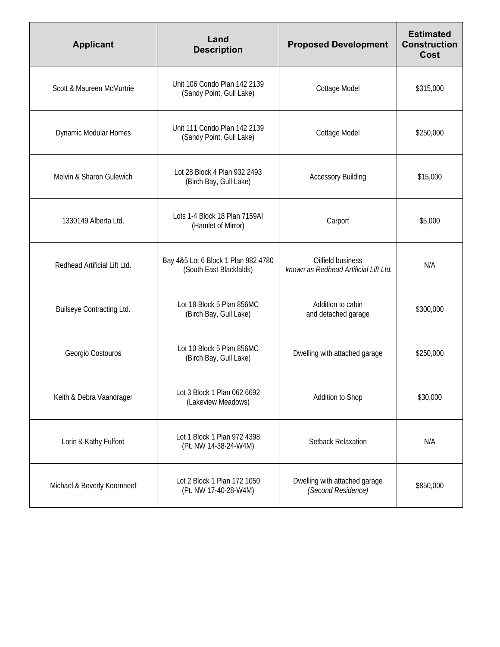| <b>Applicant</b>                 | Land<br><b>Description</b>                                     | <b>Proposed Development</b>                                | <b>Estimated</b><br><b>Construction</b><br>Cost |
|----------------------------------|----------------------------------------------------------------|------------------------------------------------------------|-------------------------------------------------|
| Scott & Maureen McMurtrie        | Unit 106 Condo Plan 142 2139<br>(Sandy Point, Gull Lake)       | Cottage Model                                              | \$315,000                                       |
| <b>Dynamic Modular Homes</b>     | Unit 111 Condo Plan 142 2139<br>(Sandy Point, Gull Lake)       | Cottage Model                                              | \$250,000                                       |
| Melvin & Sharon Gulewich         | Lot 28 Block 4 Plan 932 2493<br>(Birch Bay, Gull Lake)         | <b>Accessory Building</b>                                  | \$15,000                                        |
| 1330149 Alberta Ltd.             | Lots 1-4 Block 18 Plan 7159AI<br>(Hamlet of Mirror)            | Carport                                                    | \$5,000                                         |
| Redhead Artificial Lift Ltd.     | Bay 4&5 Lot 6 Block 1 Plan 982 4780<br>(South East Blackfalds) | Oilfield business<br>known as Redhead Artificial Lift Ltd. | N/A                                             |
| <b>Bullseye Contracting Ltd.</b> | Lot 18 Block 5 Plan 856MC<br>(Birch Bay, Gull Lake)            | Addition to cabin<br>and detached garage                   | \$300,000                                       |
| Georgio Costouros                | Lot 10 Block 5 Plan 856MC<br>(Birch Bay, Gull Lake)            | Dwelling with attached garage                              | \$250,000                                       |
| Keith & Debra Vaandrager         | Lot 3 Block 1 Plan 062 6692<br>(Lakeview Meadows)              | Addition to Shop                                           | \$30,000                                        |
| Lorin & Kathy Fulford            | Lot 1 Block 1 Plan 972 4398<br>(Pt. NW 14-38-24-W4M)           | Setback Relaxation                                         | N/A                                             |
| Michael & Beverly Koornneef      | Lot 2 Block 1 Plan 172 1050<br>(Pt. NW 17-40-28-W4M)           | Dwelling with attached garage<br>(Second Residence)        | \$850,000                                       |